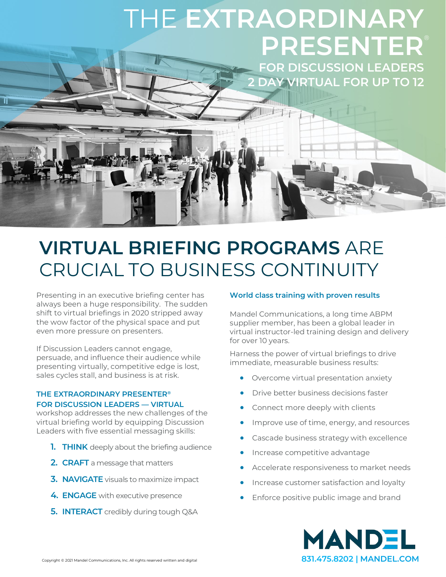# THE **EXTRAORDINARY PRESENTER**

**FOR DISCUSSION LEADERS 2 DAY VIRTUAL FOR UP TO 12**

### **VIRTUAL BRIEFING PROGRAMS** ARE CRUCIAL TO BUSINESS CONTINUITY

Presenting in an executive briefing center has always been a huge responsibility. The sudden shift to virtual briefings in 2020 stripped away the wow factor of the physical space and put even more pressure on presenters.

If Discussion Leaders cannot engage, persuade, and influence their audience while presenting virtually, competitive edge is lost, sales cycles stall, and business is at risk.

### **THE EXTRAORDINARY PRESENTER® FOR DISCUSSION LEADERS — VIRTUAL**

workshop addresses the new challenges of the virtual briefing world by equipping Discussion Leaders with five essential messaging skills:

- **1. THINK** deeply about the briefing audience
- **2. CRAFT** a message that matters
- **3. NAVIGATE** visuals to maximize impact
- **4. ENGAGE** with executive presence
- **5. INTERACT** credibly during tough Q&A

### **World class training with proven results**

Mandel Communications, a long time ABPM supplier member, has been a global leader in virtual instructor-led training design and delivery for over 10 years.

Harness the power of virtual briefings to drive immediate, measurable business results:

- Overcome virtual presentation anxiety
- Drive better business decisions faster
- Connect more deeply with clients
- Improve use of time, energy, and resources
- Cascade business strategy with excellence
- Increase competitive advantage
- Accelerate responsiveness to market needs
- Increase customer satisfaction and loyalty
- Enforce positive public image and brand